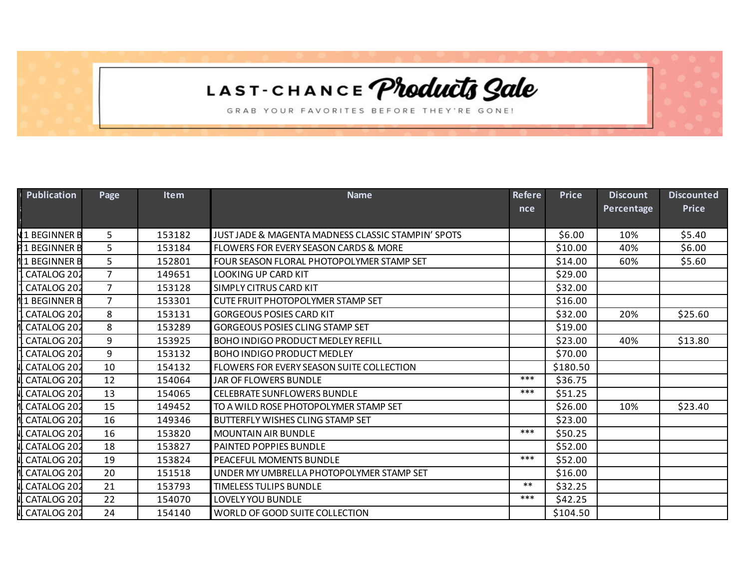## LAST-CHANCE Products Sale

GRAB YOUR FAVORITES BEFORE THEY'RE GONE!

| <b>Publication</b>     | Page           | <b>Item</b> | <b>Name</b>                                        | <b>Refere</b><br>nce | <b>Price</b> | <b>Discount</b><br>Percentage | <b>Discounted</b><br><b>Price</b> |
|------------------------|----------------|-------------|----------------------------------------------------|----------------------|--------------|-------------------------------|-----------------------------------|
| 1 BEGINNER B           | $5^{\circ}$    | 153182      | JUST JADE & MAGENTA MADNESS CLASSIC STAMPIN' SPOTS |                      | \$6.00       | 10%                           | \$5.40                            |
| 1 BEGINNER B           | 5              | 153184      | <b>FLOWERS FOR EVERY SEASON CARDS &amp; MORE</b>   |                      | \$10.00      | 40%                           | \$6.00                            |
| <b>1 BEGINNER B</b>    | 5              | 152801      | <b>FOUR SEASON FLORAL PHOTOPOLYMER STAMP SET</b>   |                      | \$14.00      | 60%                           | \$5.60                            |
| CATALOG 202            | $\overline{7}$ | 149651      | <b>LOOKING UP CARD KIT</b>                         |                      | \$29.00      |                               |                                   |
| CATALOG 202            | $\overline{7}$ | 153128      | SIMPLY CITRUS CARD KIT                             |                      | \$32.00      |                               |                                   |
| 1 BEGINNER B           | $\overline{7}$ | 153301      | CUTE FRUIT PHOTOPOLYMER STAMP SET                  |                      | \$16.00      |                               |                                   |
| CATALOG 202            | 8              | 153131      | <b>GORGEOUS POSIES CARD KIT</b>                    |                      | \$32.00      | 20%                           | \$25.60                           |
| CATALOG <sub>202</sub> | 8              | 153289      | <b>GORGEOUS POSIES CLING STAMP SET</b>             |                      | \$19.00      |                               |                                   |
| CATALOG 202            | 9              | 153925      | <b>BOHO INDIGO PRODUCT MEDLEY REFILL</b>           |                      | \$23.00      | 40%                           | \$13.80                           |
| CATALOG 202            | 9              | 153132      | <b>BOHO INDIGO PRODUCT MEDLEY</b>                  |                      | \$70.00      |                               |                                   |
| CATALOG 202            | 10             | 154132      | <b>FLOWERS FOR EVERY SEASON SUITE COLLECTION</b>   |                      | \$180.50     |                               |                                   |
| CATALOG 202            | 12             | 154064      | JAR OF FLOWERS BUNDLE                              | ***                  | \$36.75      |                               |                                   |
| CATALOG 202            | 13             | 154065      | <b>CELEBRATE SUNFLOWERS BUNDLE</b>                 | ***                  | \$51.25      |                               |                                   |
| CATALOG 202            | 15             | 149452      | TO A WILD ROSE PHOTOPOLYMER STAMP SET              |                      | \$26.00      | 10%                           | \$23.40                           |
| CATALOG <sub>202</sub> | 16             | 149346      | <b>BUTTERFLY WISHES CLING STAMP SET</b>            |                      | \$23.00      |                               |                                   |
| CATALOG 202            | 16             | 153820      | <b>MOUNTAIN AIR BUNDLE</b>                         | ***                  | \$50.25      |                               |                                   |
| CATALOG 202            | 18             | 153827      | <b>PAINTED POPPIES BUNDLE</b>                      |                      | \$52.00      |                               |                                   |
| CATALOG 202            | 19             | 153824      | <b>PEACEFUL MOMENTS BUNDLE</b>                     | ***                  | \$52.00      |                               |                                   |
| CATALOG 202            | 20             | 151518      | UNDER MY UMBRELLA PHOTOPOLYMER STAMP SET           |                      | \$16.00      |                               |                                   |
| CATALOG 202            | 21             | 153793      | <b>TIMELESS TULIPS BUNDLE</b>                      | $***$                | \$32.25      |                               |                                   |
| CATALOG 202            | 22             | 154070      | LOVELY YOU BUNDLE                                  | ***                  | \$42.25      |                               |                                   |
| CATALOG 202            | 24             | 154140      | WORLD OF GOOD SUITE COLLECTION                     |                      | \$104.50     |                               |                                   |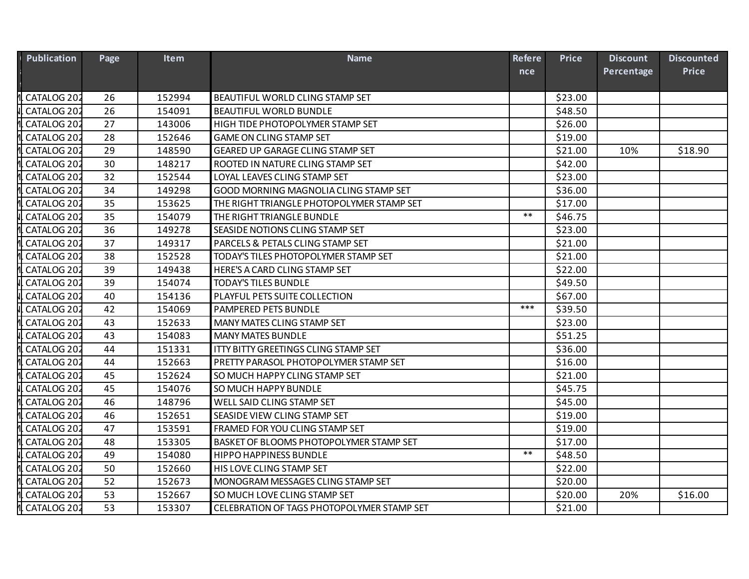| <b>Publication</b> | Page | <b>Item</b> | <b>Name</b>                                 | <b>Refere</b> | <b>Price</b> | <b>Discount</b> | <b>Discounted</b> |
|--------------------|------|-------------|---------------------------------------------|---------------|--------------|-----------------|-------------------|
|                    |      |             |                                             | nce           |              | Percentage      | <b>Price</b>      |
|                    |      |             |                                             |               |              |                 |                   |
| CATALOG 202        | 26   | 152994      | BEAUTIFUL WORLD CLING STAMP SET             |               | \$23.00      |                 |                   |
| CATALOG 202        | 26   | 154091      | <b>BEAUTIFUL WORLD BUNDLE</b>               |               | \$48.50      |                 |                   |
| CATALOG 202        | 27   | 143006      | HIGH TIDE PHOTOPOLYMER STAMP SET            |               | \$26.00      |                 |                   |
| CATALOG 202        | 28   | 152646      | <b>GAME ON CLING STAMP SET</b>              |               | \$19.00      |                 |                   |
| CATALOG 202        | 29   | 148590      | GEARED UP GARAGE CLING STAMP SET            |               | \$21.00      | 10%             | \$18.90           |
| CATALOG 202        | 30   | 148217      | ROOTED IN NATURE CLING STAMP SET            |               | \$42.00      |                 |                   |
| CATALOG 202        | 32   | 152544      | LOYAL LEAVES CLING STAMP SET                |               | \$23.00      |                 |                   |
| CATALOG 202        | 34   | 149298      | GOOD MORNING MAGNOLIA CLING STAMP SET       |               | \$36.00      |                 |                   |
| CATALOG 202        | 35   | 153625      | THE RIGHT TRIANGLE PHOTOPOLYMER STAMP SET   |               | \$17.00      |                 |                   |
| CATALOG 202        | 35   | 154079      | THE RIGHT TRIANGLE BUNDLE                   | $***$         | \$46.75      |                 |                   |
| CATALOG 202        | 36   | 149278      | SEASIDE NOTIONS CLING STAMP SET             |               | \$23.00      |                 |                   |
| CATALOG 202        | 37   | 149317      | PARCELS & PETALS CLING STAMP SET            |               | \$21.00      |                 |                   |
| CATALOG 202        | 38   | 152528      | TODAY'S TILES PHOTOPOLYMER STAMP SET        |               | \$21.00      |                 |                   |
| CATALOG 202        | 39   | 149438      | HERE'S A CARD CLING STAMP SET               |               | \$22.00      |                 |                   |
| CATALOG 202        | 39   | 154074      | <b>TODAY'S TILES BUNDLE</b>                 |               | \$49.50      |                 |                   |
| CATALOG 202        | 40   | 154136      | PLAYFUL PETS SUITE COLLECTION               |               | \$67.00      |                 |                   |
| CATALOG 202        | 42   | 154069      | PAMPERED PETS BUNDLE                        | ***           | \$39.50      |                 |                   |
| CATALOG 202        | 43   | 152633      | MANY MATES CLING STAMP SET                  |               | \$23.00      |                 |                   |
| CATALOG 202        | 43   | 154083      | <b>MANY MATES BUNDLE</b>                    |               | \$51.25      |                 |                   |
| CATALOG 202        | 44   | 151331      | <b>ITTY BITTY GREETINGS CLING STAMP SET</b> |               | \$36.00      |                 |                   |
| CATALOG 202        | 44   | 152663      | PRETTY PARASOL PHOTOPOLYMER STAMP SET       |               | \$16.00      |                 |                   |
| CATALOG 202        | 45   | 152624      | SO MUCH HAPPY CLING STAMP SET               |               | \$21.00      |                 |                   |
| CATALOG 202        | 45   | 154076      | SO MUCH HAPPY BUNDLE                        |               | \$45.75      |                 |                   |
| CATALOG 202        | 46   | 148796      | WELL SAID CLING STAMP SET                   |               | \$45.00      |                 |                   |
| CATALOG 202        | 46   | 152651      | SEASIDE VIEW CLING STAMP SET                |               | \$19.00      |                 |                   |
| CATALOG 202        | 47   | 153591      | FRAMED FOR YOU CLING STAMP SET              |               | \$19.00      |                 |                   |
| CATALOG 202        | 48   | 153305      | BASKET OF BLOOMS PHOTOPOLYMER STAMP SET     |               | \$17.00      |                 |                   |
| CATALOG 202        | 49   | 154080      | HIPPO HAPPINESS BUNDLE                      | $**$          | \$48.50      |                 |                   |
| CATALOG 202        | 50   | 152660      | HIS LOVE CLING STAMP SET                    |               | \$22.00      |                 |                   |
| CATALOG 202        | 52   | 152673      | MONOGRAM MESSAGES CLING STAMP SET           |               | \$20.00      |                 |                   |
| CATALOG 202        | 53   | 152667      | SO MUCH LOVE CLING STAMP SET                |               | \$20.00      | 20%             | \$16.00           |
| CATALOG 202        | 53   | 153307      | CELEBRATION OF TAGS PHOTOPOLYMER STAMP SET  |               | \$21.00      |                 |                   |
|                    |      |             |                                             |               |              |                 |                   |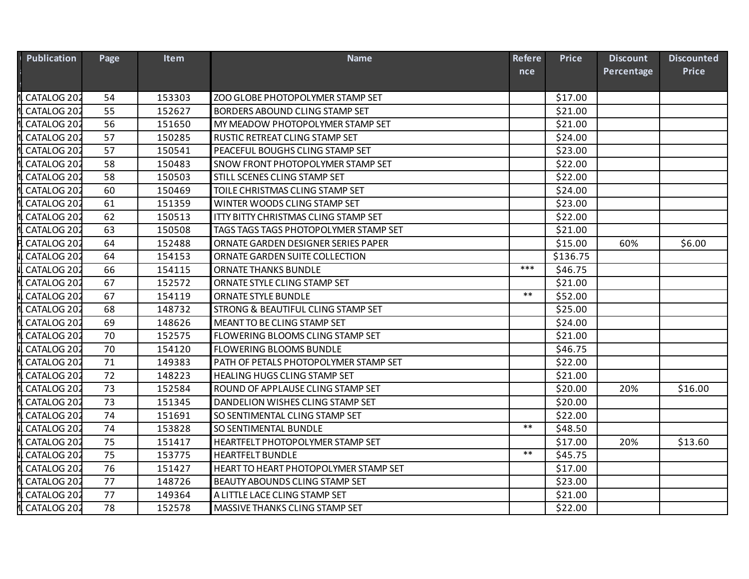| <b>Publication</b> | Page | Item   | <b>Name</b>                                   | <b>Refere</b> | <b>Price</b> | <b>Discount</b> | <b>Discounted</b> |
|--------------------|------|--------|-----------------------------------------------|---------------|--------------|-----------------|-------------------|
|                    |      |        |                                               | nce           |              | Percentage      | <b>Price</b>      |
|                    |      |        |                                               |               |              |                 |                   |
| CATALOG 202        | 54   | 153303 | ZOO GLOBE PHOTOPOLYMER STAMP SET              |               | \$17.00      |                 |                   |
| CATALOG 202        | 55   | 152627 | <b>BORDERS ABOUND CLING STAMP SET</b>         |               | \$21.00      |                 |                   |
| CATALOG 202        | 56   | 151650 | MY MEADOW PHOTOPOLYMER STAMP SET              |               | \$21.00      |                 |                   |
| CATALOG 202        | 57   | 150285 | RUSTIC RETREAT CLING STAMP SET                |               | \$24.00      |                 |                   |
| CATALOG 202        | 57   | 150541 | PEACEFUL BOUGHS CLING STAMP SET               |               | \$23.00      |                 |                   |
| CATALOG 202        | 58   | 150483 | SNOW FRONT PHOTOPOLYMER STAMP SET             |               | \$22.00      |                 |                   |
| CATALOG 202        | 58   | 150503 | STILL SCENES CLING STAMP SET                  |               | \$22.00      |                 |                   |
| CATALOG 202        | 60   | 150469 | TOILE CHRISTMAS CLING STAMP SET               |               | \$24.00      |                 |                   |
| CATALOG 202        | 61   | 151359 | WINTER WOODS CLING STAMP SET                  |               | \$23.00      |                 |                   |
| CATALOG 202        | 62   | 150513 | <b>ITTY BITTY CHRISTMAS CLING STAMP SET</b>   |               | \$22.00      |                 |                   |
| CATALOG 202        | 63   | 150508 | TAGS TAGS TAGS PHOTOPOLYMER STAMP SET         |               | \$21.00      |                 |                   |
| CATALOG 202        | 64   | 152488 | ORNATE GARDEN DESIGNER SERIES PAPER           |               | \$15.00      | 60%             | \$6.00            |
| CATALOG 202        | 64   | 154153 | ORNATE GARDEN SUITE COLLECTION                |               | \$136.75     |                 |                   |
| CATALOG 202        | 66   | 154115 | <b>ORNATE THANKS BUNDLE</b>                   | $***$         | \$46.75      |                 |                   |
| CATALOG 202        | 67   | 152572 | ORNATE STYLE CLING STAMP SET                  |               | \$21.00      |                 |                   |
| CATALOG 202        | 67   | 154119 | ORNATE STYLE BUNDLE                           | $***$         | \$52.00      |                 |                   |
| CATALOG 202        | 68   | 148732 | <b>STRONG &amp; BEAUTIFUL CLING STAMP SET</b> |               | \$25.00      |                 |                   |
| CATALOG 202        | 69   | 148626 | MEANT TO BE CLING STAMP SET                   |               | \$24.00      |                 |                   |
| CATALOG 202        | 70   | 152575 | FLOWERING BLOOMS CLING STAMP SET              |               | \$21.00      |                 |                   |
| CATALOG 202        | 70   | 154120 | FLOWERING BLOOMS BUNDLE                       |               | \$46.75      |                 |                   |
| CATALOG 202        | 71   | 149383 | PATH OF PETALS PHOTOPOLYMER STAMP SET         |               | \$22.00      |                 |                   |
| CATALOG 202        | 72   | 148223 | <b>HEALING HUGS CLING STAMP SET</b>           |               | \$21.00      |                 |                   |
| CATALOG 202        | 73   | 152584 | ROUND OF APPLAUSE CLING STAMP SET             |               | \$20.00      | 20%             | \$16.00           |
| CATALOG 202        | 73   | 151345 | DANDELION WISHES CLING STAMP SET              |               | \$20.00      |                 |                   |
| CATALOG 202        | 74   | 151691 | SO SENTIMENTAL CLING STAMP SET                |               | \$22.00      |                 |                   |
| CATALOG 202        | 74   | 153828 | SO SENTIMENTAL BUNDLE                         | $***$         | \$48.50      |                 |                   |
| CATALOG 202        | 75   | 151417 | HEARTFELT PHOTOPOLYMER STAMP SET              |               | \$17.00      | 20%             | \$13.60           |
| CATALOG 202        | 75   | 153775 | <b>HEARTFELT BUNDLE</b>                       | $***$         | \$45.75      |                 |                   |
| CATALOG 202        | 76   | 151427 | HEART TO HEART PHOTOPOLYMER STAMP SET         |               | \$17.00      |                 |                   |
| CATALOG 202        | 77   | 148726 | BEAUTY ABOUNDS CLING STAMP SET                |               | \$23.00      |                 |                   |
| CATALOG 202        | 77   | 149364 | A LITTLE LACE CLING STAMP SET                 |               | \$21.00      |                 |                   |
| CATALOG 202        | 78   | 152578 | MASSIVE THANKS CLING STAMP SET                |               | \$22.00      |                 |                   |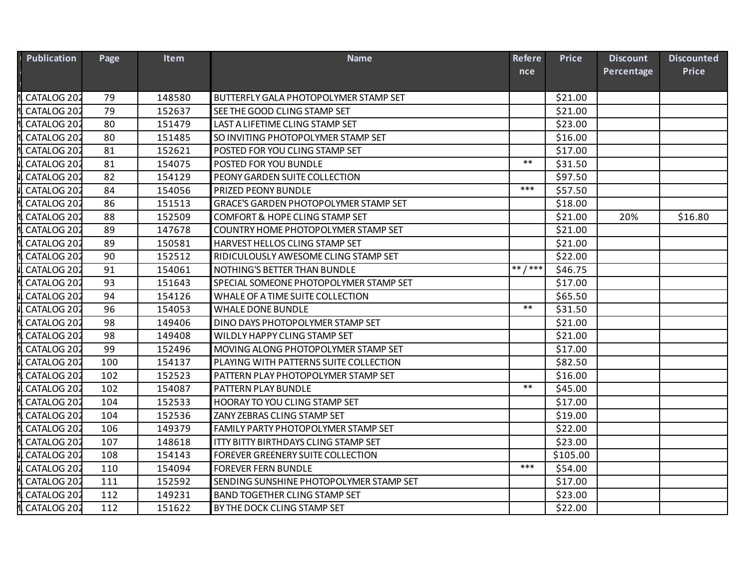| <b>Publication</b> | Page | Item   | <b>Name</b>                                  | <b>Refere</b> | <b>Price</b> | <b>Discount</b> | <b>Discounted</b> |
|--------------------|------|--------|----------------------------------------------|---------------|--------------|-----------------|-------------------|
|                    |      |        |                                              | nce           |              | Percentage      | <b>Price</b>      |
|                    |      |        |                                              |               |              |                 |                   |
| CATALOG 202        | 79   | 148580 | <b>BUTTERFLY GALA PHOTOPOLYMER STAMP SET</b> |               | \$21.00      |                 |                   |
| CATALOG 202        | 79   | 152637 | SEE THE GOOD CLING STAMP SET                 |               | \$21.00      |                 |                   |
| CATALOG 202        | 80   | 151479 | LAST A LIFETIME CLING STAMP SET              |               | \$23.00      |                 |                   |
| CATALOG 202        | 80   | 151485 | SO INVITING PHOTOPOLYMER STAMP SET           |               | \$16.00      |                 |                   |
| CATALOG 202        | 81   | 152621 | POSTED FOR YOU CLING STAMP SET               |               | \$17.00      |                 |                   |
| CATALOG 202        | 81   | 154075 | POSTED FOR YOU BUNDLE                        | $***$         | \$31.50      |                 |                   |
| CATALOG 202        | 82   | 154129 | PEONY GARDEN SUITE COLLECTION                |               | \$97.50      |                 |                   |
| CATALOG 202        | 84   | 154056 | PRIZED PEONY BUNDLE                          | ***           | \$57.50      |                 |                   |
| CATALOG 202        | 86   | 151513 | <b>GRACE'S GARDEN PHOTOPOLYMER STAMP SET</b> |               | \$18.00      |                 |                   |
| CATALOG 202        | 88   | 152509 | COMFORT & HOPE CLING STAMP SET               |               | \$21.00      | 20%             | \$16.80           |
| CATALOG 202        | 89   | 147678 | COUNTRY HOME PHOTOPOLYMER STAMP SET          |               | \$21.00      |                 |                   |
| CATALOG 202        | 89   | 150581 | HARVEST HELLOS CLING STAMP SET               |               | \$21.00      |                 |                   |
| CATALOG 202        | 90   | 152512 | RIDICULOUSLY AWESOME CLING STAMP SET         |               | \$22.00      |                 |                   |
| CATALOG 202        | 91   | 154061 | NOTHING'S BETTER THAN BUNDLE                 | $***$ /***    | \$46.75      |                 |                   |
| CATALOG 202        | 93   | 151643 | SPECIAL SOMEONE PHOTOPOLYMER STAMP SET       |               | \$17.00      |                 |                   |
| CATALOG 202        | 94   | 154126 | WHALE OF A TIME SUITE COLLECTION             |               | \$65.50      |                 |                   |
| CATALOG 202        | 96   | 154053 | <b>WHALE DONE BUNDLE</b>                     | $**$          | \$31.50      |                 |                   |
| CATALOG 202        | 98   | 149406 | DINO DAYS PHOTOPOLYMER STAMP SET             |               | \$21.00      |                 |                   |
| CATALOG 202        | 98   | 149408 | WILDLY HAPPY CLING STAMP SET                 |               | \$21.00      |                 |                   |
| CATALOG 202        | 99   | 152496 | MOVING ALONG PHOTOPOLYMER STAMP SET          |               | \$17.00      |                 |                   |
| CATALOG 202        | 100  | 154137 | PLAYING WITH PATTERNS SUITE COLLECTION       |               | \$82.50      |                 |                   |
| CATALOG 202        | 102  | 152523 | PATTERN PLAY PHOTOPOLYMER STAMP SET          |               | \$16.00      |                 |                   |
| CATALOG 202        | 102  | 154087 | <b>PATTERN PLAY BUNDLE</b>                   | $***$         | \$45.00      |                 |                   |
| CATALOG 202        | 104  | 152533 | HOORAY TO YOU CLING STAMP SET                |               | \$17.00      |                 |                   |
| CATALOG 202        | 104  | 152536 | ZANY ZEBRAS CLING STAMP SET                  |               | \$19.00      |                 |                   |
| CATALOG 202        | 106  | 149379 | FAMILY PARTY PHOTOPOLYMER STAMP SET          |               | \$22.00      |                 |                   |
| CATALOG 202        | 107  | 148618 | ITTY BITTY BIRTHDAYS CLING STAMP SET         |               | \$23.00      |                 |                   |
| CATALOG 202        | 108  | 154143 | FOREVER GREENERY SUITE COLLECTION            |               | \$105.00     |                 |                   |
| CATALOG 202        | 110  | 154094 | <b>FOREVER FERN BUNDLE</b>                   | ***           | \$54.00      |                 |                   |
| CATALOG 202        | 111  | 152592 | SENDING SUNSHINE PHOTOPOLYMER STAMP SET      |               | \$17.00      |                 |                   |
| CATALOG 202        | 112  | 149231 | <b>BAND TOGETHER CLING STAMP SET</b>         |               | \$23.00      |                 |                   |
| CATALOG 202        | 112  | 151622 | BY THE DOCK CLING STAMP SET                  |               | \$22.00      |                 |                   |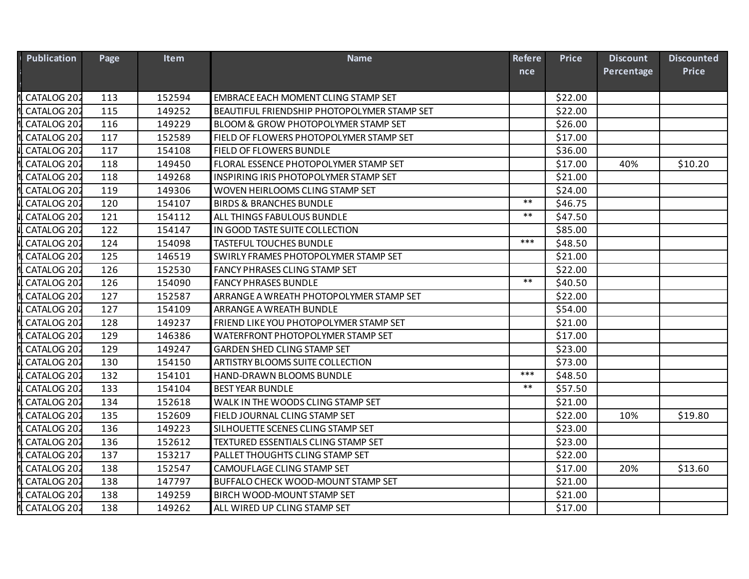| <b>Publication</b> | Page | Item   | <b>Name</b>                                    | <b>Refere</b> | <b>Price</b> | <b>Discount</b> | <b>Discounted</b> |
|--------------------|------|--------|------------------------------------------------|---------------|--------------|-----------------|-------------------|
|                    |      |        |                                                | nce           |              | Percentage      | <b>Price</b>      |
|                    |      |        |                                                |               |              |                 |                   |
| CATALOG 202        | 113  | 152594 | EMBRACE EACH MOMENT CLING STAMP SET            |               | \$22.00      |                 |                   |
| CATALOG 202        | 115  | 149252 | BEAUTIFUL FRIENDSHIP PHOTOPOLYMER STAMP SET    |               | \$22.00      |                 |                   |
| CATALOG 202        | 116  | 149229 | <b>BLOOM &amp; GROW PHOTOPOLYMER STAMP SET</b> |               | \$26.00      |                 |                   |
| CATALOG 202        | 117  | 152589 | FIELD OF FLOWERS PHOTOPOLYMER STAMP SET        |               | \$17.00      |                 |                   |
| CATALOG 202        | 117  | 154108 | FIELD OF FLOWERS BUNDLE                        |               | \$36.00      |                 |                   |
| CATALOG 202        | 118  | 149450 | FLORAL ESSENCE PHOTOPOLYMER STAMP SET          |               | \$17.00      | 40%             | \$10.20           |
| CATALOG 202        | 118  | 149268 | INSPIRING IRIS PHOTOPOLYMER STAMP SET          |               | \$21.00      |                 |                   |
| CATALOG 202        | 119  | 149306 | WOVEN HEIRLOOMS CLING STAMP SET                |               | \$24.00      |                 |                   |
| CATALOG 202        | 120  | 154107 | <b>BIRDS &amp; BRANCHES BUNDLE</b>             | $***$         | \$46.75      |                 |                   |
| CATALOG 202        | 121  | 154112 | ALL THINGS FABULOUS BUNDLE                     | $\ast\ast$    | \$47.50      |                 |                   |
| CATALOG 202        | 122  | 154147 | IN GOOD TASTE SUITE COLLECTION                 |               | \$85.00      |                 |                   |
| CATALOG 202        | 124  | 154098 | <b>TASTEFUL TOUCHES BUNDLE</b>                 | $***$         | \$48.50      |                 |                   |
| CATALOG 202        | 125  | 146519 | SWIRLY FRAMES PHOTOPOLYMER STAMP SET           |               | \$21.00      |                 |                   |
| CATALOG 202        | 126  | 152530 | FANCY PHRASES CLING STAMP SET                  |               | \$22.00      |                 |                   |
| CATALOG 202        | 126  | 154090 | <b>FANCY PHRASES BUNDLE</b>                    | $***$         | \$40.50      |                 |                   |
| CATALOG 202        | 127  | 152587 | ARRANGE A WREATH PHOTOPOLYMER STAMP SET        |               | \$22.00      |                 |                   |
| CATALOG 202        | 127  | 154109 | ARRANGE A WREATH BUNDLE                        |               | \$54.00      |                 |                   |
| CATALOG 202        | 128  | 149237 | FRIEND LIKE YOU PHOTOPOLYMER STAMP SET         |               | \$21.00      |                 |                   |
| CATALOG 202        | 129  | 146386 | WATERFRONT PHOTOPOLYMER STAMP SET              |               | \$17.00      |                 |                   |
| CATALOG 202        | 129  | 149247 | <b>GARDEN SHED CLING STAMP SET</b>             |               | \$23.00      |                 |                   |
| CATALOG 202        | 130  | 154150 | ARTISTRY BLOOMS SUITE COLLECTION               |               | \$73.00      |                 |                   |
| CATALOG 202        | 132  | 154101 | HAND-DRAWN BLOOMS BUNDLE                       | $***$         | \$48.50      |                 |                   |
| CATALOG 202        | 133  | 154104 | <b>BEST YEAR BUNDLE</b>                        | $***$         | \$57.50      |                 |                   |
| CATALOG 202        | 134  | 152618 | WALK IN THE WOODS CLING STAMP SET              |               | \$21.00      |                 |                   |
| CATALOG 202        | 135  | 152609 | FIELD JOURNAL CLING STAMP SET                  |               | \$22.00      | 10%             | \$19.80           |
| CATALOG 202        | 136  | 149223 | SILHOUETTE SCENES CLING STAMP SET              |               | \$23.00      |                 |                   |
| CATALOG 202        | 136  | 152612 | TEXTURED ESSENTIALS CLING STAMP SET            |               | \$23.00      |                 |                   |
| CATALOG 202        | 137  | 153217 | PALLET THOUGHTS CLING STAMP SET                |               | \$22.00      |                 |                   |
| CATALOG 202        | 138  | 152547 | CAMOUFLAGE CLING STAMP SET                     |               | \$17.00      | 20%             | \$13.60           |
| CATALOG 202        | 138  | 147797 | <b>BUFFALO CHECK WOOD-MOUNT STAMP SET</b>      |               | \$21.00      |                 |                   |
| CATALOG 202        | 138  | 149259 | BIRCH WOOD-MOUNT STAMP SET                     |               | \$21.00      |                 |                   |
| CATALOG 202        | 138  | 149262 | ALL WIRED UP CLING STAMP SET                   |               | \$17.00      |                 |                   |
|                    |      |        |                                                |               |              |                 |                   |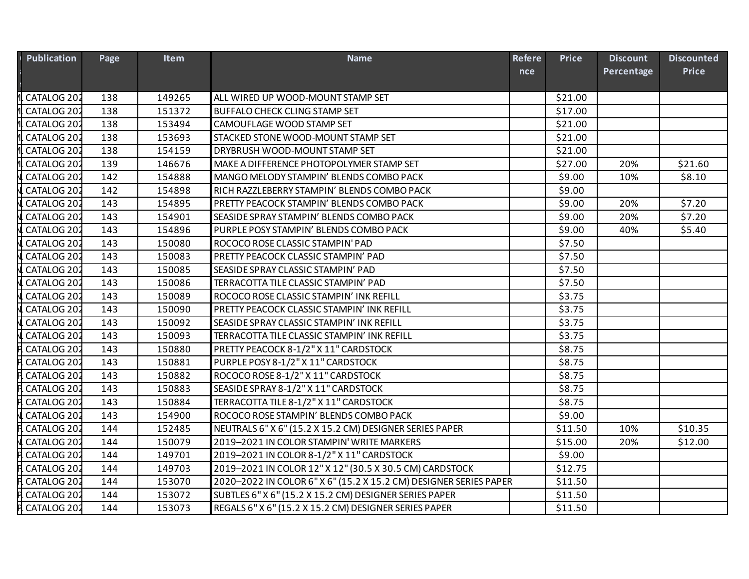| <b>Publication</b> | Page | Item   | <b>Name</b>                                                       | <b>Refere</b> | <b>Price</b> | <b>Discount</b> | <b>Discounted</b> |
|--------------------|------|--------|-------------------------------------------------------------------|---------------|--------------|-----------------|-------------------|
|                    |      |        |                                                                   | nce           |              | Percentage      | <b>Price</b>      |
|                    |      |        |                                                                   |               |              |                 |                   |
| CATALOG 202        | 138  | 149265 | ALL WIRED UP WOOD-MOUNT STAMP SET                                 |               | \$21.00      |                 |                   |
| CATALOG 202        | 138  | 151372 | <b>BUFFALO CHECK CLING STAMP SET</b>                              |               | \$17.00      |                 |                   |
| CATALOG 202        | 138  | 153494 | CAMOUFLAGE WOOD STAMP SET                                         |               | \$21.00      |                 |                   |
| CATALOG 202        | 138  | 153693 | STACKED STONE WOOD-MOUNT STAMP SET                                |               | \$21.00      |                 |                   |
| CATALOG 202        | 138  | 154159 | DRYBRUSH WOOD-MOUNT STAMP SET                                     |               | \$21.00      |                 |                   |
| CATALOG 202        | 139  | 146676 | MAKE A DIFFERENCE PHOTOPOLYMER STAMP SET                          |               | \$27.00      | 20%             | \$21.60           |
| CATALOG 202        | 142  | 154888 | MANGO MELODY STAMPIN' BLENDS COMBO PACK                           |               | \$9.00       | 10%             | \$8.10            |
| CATALOG 202        | 142  | 154898 | RICH RAZZLEBERRY STAMPIN' BLENDS COMBO PACK                       |               | \$9.00       |                 |                   |
| CATALOG 202        | 143  | 154895 | PRETTY PEACOCK STAMPIN' BLENDS COMBO PACK                         |               | \$9.00       | 20%             | \$7.20            |
| CATALOG 202        | 143  | 154901 | SEASIDE SPRAY STAMPIN' BLENDS COMBO PACK                          |               | \$9.00       | 20%             | \$7.20            |
| CATALOG 202        | 143  | 154896 | PURPLE POSY STAMPIN' BLENDS COMBO PACK                            |               | \$9.00       | 40%             | \$5.40            |
| CATALOG 202        | 143  | 150080 | ROCOCO ROSE CLASSIC STAMPIN' PAD                                  |               | \$7.50       |                 |                   |
| CATALOG 202        | 143  | 150083 | PRETTY PEACOCK CLASSIC STAMPIN' PAD                               |               | \$7.50       |                 |                   |
| CATALOG 202        | 143  | 150085 | SEASIDE SPRAY CLASSIC STAMPIN' PAD                                |               | \$7.50       |                 |                   |
| CATALOG 202        | 143  | 150086 | TERRACOTTA TILE CLASSIC STAMPIN' PAD                              |               | \$7.50       |                 |                   |
| CATALOG 202        | 143  | 150089 | ROCOCO ROSE CLASSIC STAMPIN' INK REFILL                           |               | \$3.75       |                 |                   |
| CATALOG 202        | 143  | 150090 | PRETTY PEACOCK CLASSIC STAMPIN' INK REFILL                        |               | \$3.75       |                 |                   |
| CATALOG 202        | 143  | 150092 | SEASIDE SPRAY CLASSIC STAMPIN' INK REFILL                         |               | \$3.75       |                 |                   |
| CATALOG 202        | 143  | 150093 | TERRACOTTA TILE CLASSIC STAMPIN' INK REFILL                       |               | \$3.75       |                 |                   |
| CATALOG 202        | 143  | 150880 | PRETTY PEACOCK 8-1/2" X 11" CARDSTOCK                             |               | \$8.75       |                 |                   |
| CATALOG 202        | 143  | 150881 | PURPLE POSY 8-1/2" X 11" CARDSTOCK                                |               | \$8.75       |                 |                   |
| CATALOG 202        | 143  | 150882 | ROCOCO ROSE 8-1/2" X 11" CARDSTOCK                                |               | \$8.75       |                 |                   |
| CATALOG 202        | 143  | 150883 | SEASIDE SPRAY 8-1/2" X 11" CARDSTOCK                              |               | \$8.75       |                 |                   |
| CATALOG 202        | 143  | 150884 | TERRACOTTA TILE 8-1/2" X 11" CARDSTOCK                            |               | \$8.75       |                 |                   |
| CATALOG 202        | 143  | 154900 | ROCOCO ROSE STAMPIN' BLENDS COMBO PACK                            |               | \$9.00       |                 |                   |
| CATALOG 202        | 144  | 152485 | NEUTRALS 6" X 6" (15.2 X 15.2 CM) DESIGNER SERIES PAPER           |               | \$11.50      | 10%             | \$10.35           |
| CATALOG 202        | 144  | 150079 | 2019-2021 IN COLOR STAMPIN' WRITE MARKERS                         |               | \$15.00      | 20%             | \$12.00           |
| CATALOG 202        | 144  | 149701 | 2019-2021 IN COLOR 8-1/2" X 11" CARDSTOCK                         |               | \$9.00       |                 |                   |
| CATALOG 202        | 144  | 149703 | 2019-2021 IN COLOR 12" X 12" (30.5 X 30.5 CM) CARDSTOCK           |               | \$12.75      |                 |                   |
| CATALOG 202        | 144  | 153070 | 2020-2022 IN COLOR 6" X 6" (15.2 X 15.2 CM) DESIGNER SERIES PAPER |               | \$11.50      |                 |                   |
| CATALOG 202        | 144  | 153072 | SUBTLES 6" X 6" (15.2 X 15.2 CM) DESIGNER SERIES PAPER            |               | \$11.50      |                 |                   |
| CATALOG 202        | 144  | 153073 | REGALS 6" X 6" (15.2 X 15.2 CM) DESIGNER SERIES PAPER             |               | \$11.50      |                 |                   |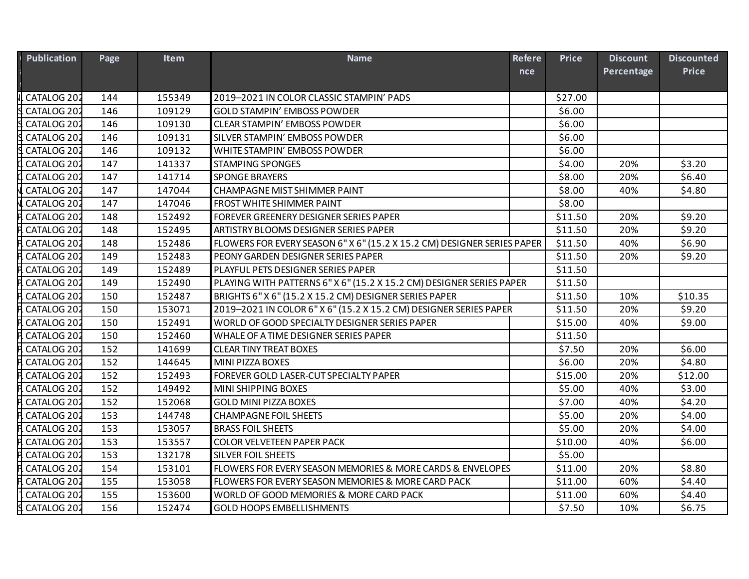| <b>Publication</b>     | Page | <b>Item</b> | <b>Name</b>                                                             | <b>Refere</b> | <b>Price</b> | <b>Discount</b> | <b>Discounted</b> |
|------------------------|------|-------------|-------------------------------------------------------------------------|---------------|--------------|-----------------|-------------------|
|                        |      |             |                                                                         | nce           |              | Percentage      | <b>Price</b>      |
| CATALOG 202            | 144  | 155349      | 2019-2021 IN COLOR CLASSIC STAMPIN' PADS                                |               | \$27.00      |                 |                   |
| CATALOG 202            | 146  | 109129      | <b>GOLD STAMPIN' EMBOSS POWDER</b>                                      |               | \$6.00       |                 |                   |
| CATALOG <sub>202</sub> | 146  | 109130      | <b>CLEAR STAMPIN' EMBOSS POWDER</b>                                     |               | \$6.00       |                 |                   |
| CATALOG 202            | 146  | 109131      | SILVER STAMPIN' EMBOSS POWDER                                           |               | \$6.00       |                 |                   |
| CATALOG 202            | 146  | 109132      | WHITE STAMPIN' EMBOSS POWDER                                            |               | \$6.00       |                 |                   |
| CATALOG 202            | 147  | 141337      |                                                                         |               | \$4.00       | 20%             | \$3.20            |
| CATALOG 202            | 147  | 141714      | <b>STAMPING SPONGES</b><br><b>SPONGE BRAYERS</b>                        |               | \$8.00       | 20%             | \$6.40            |
|                        |      |             | <b>CHAMPAGNE MIST SHIMMER PAINT</b>                                     |               |              |                 |                   |
| CATALOG 202            | 147  | 147044      |                                                                         |               | \$8.00       | 40%             | \$4.80            |
| CATALOG 202            | 147  | 147046      | FROST WHITE SHIMMER PAINT                                               |               | \$8.00       |                 |                   |
| CATALOG 202            | 148  | 152492      | FOREVER GREENERY DESIGNER SERIES PAPER                                  |               | \$11.50      | 20%             | \$9.20            |
| CATALOG 202            | 148  | 152495      | ARTISTRY BLOOMS DESIGNER SERIES PAPER                                   |               | \$11.50      | 20%             | \$9.20            |
| CATALOG 202            | 148  | 152486      | FLOWERS FOR EVERY SEASON 6" X 6" (15.2 X 15.2 CM) DESIGNER SERIES PAPER |               | \$11.50      | 40%             | \$6.90            |
| CATALOG 202            | 149  | 152483      | PEONY GARDEN DESIGNER SERIES PAPER                                      |               | \$11.50      | 20%             | \$9.20            |
| CATALOG 202            | 149  | 152489      | PLAYFUL PETS DESIGNER SERIES PAPER                                      |               | \$11.50      |                 |                   |
| CATALOG 202            | 149  | 152490      | PLAYING WITH PATTERNS 6" X 6" (15.2 X 15.2 CM) DESIGNER SERIES PAPER    |               | \$11.50      |                 |                   |
| CATALOG 202            | 150  | 152487      | BRIGHTS 6" X 6" (15.2 X 15.2 CM) DESIGNER SERIES PAPER                  |               | \$11.50      | 10%             | \$10.35           |
| CATALOG 202            | 150  | 153071      | 2019-2021 IN COLOR 6" X 6" (15.2 X 15.2 CM) DESIGNER SERIES PAPER       |               | \$11.50      | 20%             | \$9.20            |
| CATALOG 202            | 150  | 152491      | WORLD OF GOOD SPECIALTY DESIGNER SERIES PAPER                           |               | \$15.00      | 40%             | \$9.00            |
| CATALOG 202            | 150  | 152460      | WHALE OF A TIME DESIGNER SERIES PAPER                                   |               | \$11.50      |                 |                   |
| CATALOG 202            | 152  | 141699      | <b>CLEAR TINY TREAT BOXES</b>                                           |               | \$7.50       | 20%             | \$6.00            |
| CATALOG 202            | 152  | 144645      | MINI PIZZA BOXES                                                        |               | \$6.00       | 20%             | \$4.80            |
| CATALOG 202            | 152  | 152493      | FOREVER GOLD LASER-CUT SPECIALTY PAPER                                  |               | \$15.00      | 20%             | \$12.00           |
| CATALOG 202            | 152  | 149492      | MINI SHIPPING BOXES                                                     |               | \$5.00       | 40%             | \$3.00            |
| CATALOG 202            | 152  | 152068      | <b>GOLD MINI PIZZA BOXES</b>                                            |               | \$7.00       | 40%             | \$4.20            |
| CATALOG 202            | 153  | 144748      | <b>CHAMPAGNE FOIL SHEETS</b>                                            |               | \$5.00       | 20%             | \$4.00            |
| CATALOG 202            | 153  | 153057      | <b>BRASS FOIL SHEETS</b>                                                |               | \$5.00       | 20%             | \$4.00            |
| CATALOG 202            | 153  | 153557      | <b>COLOR VELVETEEN PAPER PACK</b>                                       |               | \$10.00      | 40%             | \$6.00            |
| CATALOG 202            | 153  | 132178      | <b>SILVER FOIL SHEETS</b>                                               |               | \$5.00       |                 |                   |
| CATALOG 202            | 154  | 153101      | FLOWERS FOR EVERY SEASON MEMORIES & MORE CARDS & ENVELOPES              |               | \$11.00      | 20%             | \$8.80            |
| CATALOG 202            | 155  | 153058      | FLOWERS FOR EVERY SEASON MEMORIES & MORE CARD PACK                      |               | \$11.00      | 60%             | \$4.40            |
| CATALOG 202            | 155  | 153600      | WORLD OF GOOD MEMORIES & MORE CARD PACK                                 |               | \$11.00      | 60%             | \$4.40            |
| CATALOG 202            | 156  | 152474      | <b>GOLD HOOPS EMBELLISHMENTS</b>                                        |               | \$7.50       | 10%             | \$6.75            |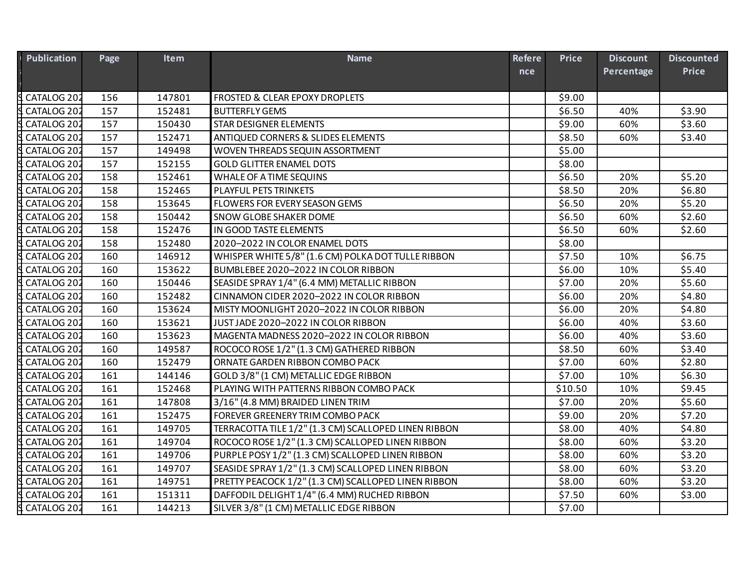| <b>Publication</b> | Page | <b>Item</b> | <b>Name</b>                                          | <b>Refere</b> | <b>Price</b> | <b>Discount</b> | <b>Discounted</b> |
|--------------------|------|-------------|------------------------------------------------------|---------------|--------------|-----------------|-------------------|
|                    |      |             |                                                      | nce           |              | Percentage      | <b>Price</b>      |
|                    |      |             |                                                      |               |              |                 |                   |
| CATALOG 202        | 156  | 147801      | FROSTED & CLEAR EPOXY DROPLETS                       |               | \$9.00       |                 |                   |
| CATALOG 202        | 157  | 152481      | <b>BUTTERFLY GEMS</b>                                |               | \$6.50       | 40%             | \$3.90            |
| CATALOG 202        | 157  | 150430      | STAR DESIGNER ELEMENTS                               |               | \$9.00       | 60%             | \$3.60            |
| CATALOG 202        | 157  | 152471      | ANTIQUED CORNERS & SLIDES ELEMENTS                   |               | \$8.50       | 60%             | \$3.40            |
| CATALOG 202        | 157  | 149498      | WOVEN THREADS SEQUIN ASSORTMENT                      |               | \$5.00       |                 |                   |
| CATALOG 202        | 157  | 152155      | <b>GOLD GLITTER ENAMEL DOTS</b>                      |               | \$8.00       |                 |                   |
| CATALOG 202        | 158  | 152461      | WHALE OF A TIME SEQUINS                              |               | \$6.50       | 20%             | \$5.20            |
| CATALOG 202        | 158  | 152465      | PLAYFUL PETS TRINKETS                                |               | \$8.50       | 20%             | \$6.80            |
| CATALOG 202        | 158  | 153645      | FLOWERS FOR EVERY SEASON GEMS                        |               | \$6.50       | 20%             | \$5.20            |
| CATALOG 202        | 158  | 150442      | SNOW GLOBE SHAKER DOME                               |               | \$6.50       | 60%             | \$2.60            |
| CATALOG 202        | 158  | 152476      | IN GOOD TASTE ELEMENTS                               |               | \$6.50       | 60%             | \$2.60            |
| CATALOG 202        | 158  | 152480      | 2020-2022 IN COLOR ENAMEL DOTS                       |               | \$8.00       |                 |                   |
| CATALOG 202        | 160  | 146912      | WHISPER WHITE 5/8" (1.6 CM) POLKA DOT TULLE RIBBON   |               | \$7.50       | 10%             | \$6.75            |
| CATALOG 202        | 160  | 153622      | BUMBLEBEE 2020-2022 IN COLOR RIBBON                  |               | \$6.00       | 10%             | \$5.40            |
| CATALOG 202        | 160  | 150446      | SEASIDE SPRAY 1/4" (6.4 MM) METALLIC RIBBON          |               | \$7.00       | 20%             | \$5.60            |
| CATALOG 202        | 160  | 152482      | CINNAMON CIDER 2020-2022 IN COLOR RIBBON             |               | \$6.00       | 20%             | \$4.80            |
| CATALOG 202        | 160  | 153624      | MISTY MOONLIGHT 2020-2022 IN COLOR RIBBON            |               | \$6.00       | 20%             | \$4.80            |
| CATALOG 202        | 160  | 153621      | JUST JADE 2020-2022 IN COLOR RIBBON                  |               | \$6.00       | 40%             | \$3.60            |
| CATALOG 202        | 160  | 153623      | MAGENTA MADNESS 2020-2022 IN COLOR RIBBON            |               | \$6.00       | 40%             | \$3.60            |
| CATALOG 202        | 160  | 149587      | ROCOCO ROSE 1/2" (1.3 CM) GATHERED RIBBON            |               | \$8.50       | 60%             | \$3.40            |
| CATALOG 202        | 160  | 152479      | ORNATE GARDEN RIBBON COMBO PACK                      |               | \$7.00       | 60%             | \$2.80            |
| CATALOG 202        | 161  | 144146      | GOLD 3/8" (1 CM) METALLIC EDGE RIBBON                |               | \$7.00       | 10%             | \$6.30            |
| CATALOG 202        | 161  | 152468      | PLAYING WITH PATTERNS RIBBON COMBO PACK              |               | \$10.50      | 10%             | \$9.45            |
| CATALOG 202        | 161  | 147808      | 3/16" (4.8 MM) BRAIDED LINEN TRIM                    |               | \$7.00       | 20%             | \$5.60            |
| CATALOG 202        | 161  | 152475      | FOREVER GREENERY TRIM COMBO PACK                     |               | \$9.00       | 20%             | \$7.20            |
| CATALOG 202        | 161  | 149705      | TERRACOTTA TILE 1/2" (1.3 CM) SCALLOPED LINEN RIBBON |               | \$8.00       | 40%             | \$4.80            |
| CATALOG 202        | 161  | 149704      | ROCOCO ROSE 1/2" (1.3 CM) SCALLOPED LINEN RIBBON     |               | \$8.00       | 60%             | \$3.20            |
| CATALOG 202        | 161  | 149706      | PURPLE POSY 1/2" (1.3 CM) SCALLOPED LINEN RIBBON     |               | \$8.00       | 60%             | \$3.20            |
| CATALOG 202        | 161  | 149707      | SEASIDE SPRAY 1/2" (1.3 CM) SCALLOPED LINEN RIBBON   |               | \$8.00       | 60%             | \$3.20            |
| CATALOG 202        | 161  | 149751      | PRETTY PEACOCK 1/2" (1.3 CM) SCALLOPED LINEN RIBBON  |               | \$8.00       | 60%             | \$3.20            |
| CATALOG 202        | 161  | 151311      | DAFFODIL DELIGHT 1/4" (6.4 MM) RUCHED RIBBON         |               | \$7.50       | 60%             | \$3.00            |
| CATALOG 202        | 161  | 144213      | SILVER 3/8" (1 CM) METALLIC EDGE RIBBON              |               | \$7.00       |                 |                   |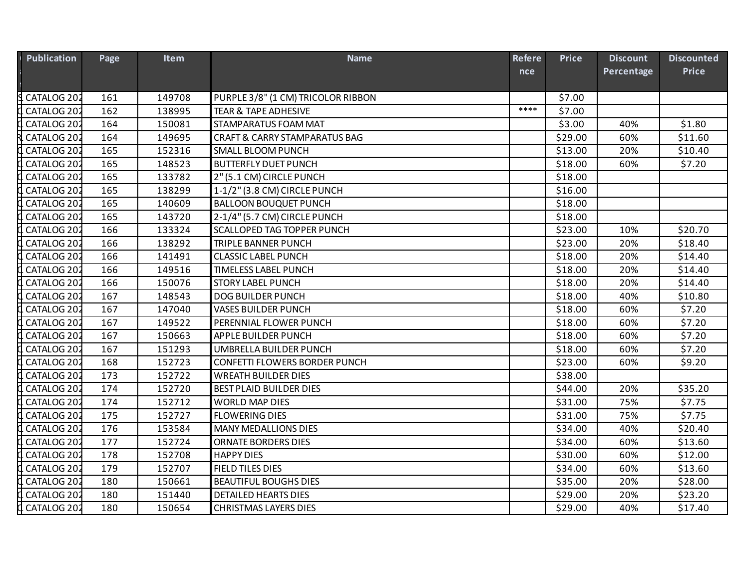| <b>Publication</b>     | Page | <b>Item</b> | <b>Name</b>                              | <b>Refere</b> | <b>Price</b> | <b>Discount</b> | <b>Discounted</b> |
|------------------------|------|-------------|------------------------------------------|---------------|--------------|-----------------|-------------------|
|                        |      |             |                                          | nce           |              | Percentage      | <b>Price</b>      |
|                        |      |             |                                          |               |              |                 |                   |
| CATALOG 202            | 161  | 149708      | PURPLE 3/8" (1 CM) TRICOLOR RIBBON       |               | \$7.00       |                 |                   |
| CATALOG 202            | 162  | 138995      | <b>TEAR &amp; TAPE ADHESIVE</b>          | ****          | \$7.00       |                 |                   |
| CATALOG <sub>202</sub> | 164  | 150081      | STAMPARATUS FOAM MAT                     |               | \$3.00       | 40%             | \$1.80            |
| CATALOG 202            | 164  | 149695      | <b>CRAFT &amp; CARRY STAMPARATUS BAG</b> |               | \$29.00      | 60%             | \$11.60           |
| CATALOG 202            | 165  | 152316      | <b>SMALL BLOOM PUNCH</b>                 |               | \$13.00      | 20%             | \$10.40           |
| CATALOG 202            | 165  | 148523      | <b>BUTTERFLY DUET PUNCH</b>              |               | \$18.00      | 60%             | \$7.20            |
| CATALOG 202            | 165  | 133782      | 2" (5.1 CM) CIRCLE PUNCH                 |               | \$18.00      |                 |                   |
| CATALOG 202            | 165  | 138299      | 1-1/2" (3.8 CM) CIRCLE PUNCH             |               | \$16.00      |                 |                   |
| CATALOG 202            | 165  | 140609      | <b>BALLOON BOUQUET PUNCH</b>             |               | \$18.00      |                 |                   |
| CATALOG <sub>202</sub> | 165  | 143720      | 2-1/4" (5.7 CM) CIRCLE PUNCH             |               | \$18.00      |                 |                   |
| CATALOG <sub>202</sub> | 166  | 133324      | SCALLOPED TAG TOPPER PUNCH               |               | \$23.00      | 10%             | \$20.70           |
| CATALOG 202            | 166  | 138292      | TRIPLE BANNER PUNCH                      |               | \$23.00      | 20%             | \$18.40           |
| CATALOG 202            | 166  | 141491      | <b>CLASSIC LABEL PUNCH</b>               |               | \$18.00      | 20%             | \$14.40           |
| CATALOG 202            | 166  | 149516      | <b>TIMELESS LABEL PUNCH</b>              |               | \$18.00      | 20%             | \$14.40           |
| CATALOG 202            | 166  | 150076      | <b>STORY LABEL PUNCH</b>                 |               | \$18.00      | 20%             | \$14.40           |
| CATALOG 202            | 167  | 148543      | <b>DOG BUILDER PUNCH</b>                 |               | \$18.00      | 40%             | \$10.80           |
| CATALOG <sub>202</sub> | 167  | 147040      | <b>VASES BUILDER PUNCH</b>               |               | \$18.00      | 60%             | \$7.20            |
| CATALOG <sub>202</sub> | 167  | 149522      | PERENNIAL FLOWER PUNCH                   |               | \$18.00      | 60%             | \$7.20            |
| CATALOG 202            | 167  | 150663      | <b>APPLE BUILDER PUNCH</b>               |               | \$18.00      | 60%             | \$7.20            |
| CATALOG 202            | 167  | 151293      | UMBRELLA BUILDER PUNCH                   |               | \$18.00      | 60%             | \$7.20            |
| CATALOG 202            | 168  | 152723      | <b>CONFETTI FLOWERS BORDER PUNCH</b>     |               | \$23.00      | 60%             | \$9.20            |
| CATALOG 202            | 173  | 152722      | <b>WREATH BUILDER DIES</b>               |               | \$38.00      |                 |                   |
| CATALOG 202            | 174  | 152720      | BEST PLAID BUILDER DIES                  |               | \$44.00      | 20%             | \$35.20           |
| CATALOG 202            | 174  | 152712      | WORLD MAP DIES                           |               | \$31.00      | 75%             | \$7.75            |
| CATALOG <sub>202</sub> | 175  | 152727      | <b>FLOWERING DIES</b>                    |               | \$31.00      | 75%             | \$7.75            |
| CATALOG 202            | 176  | 153584      | <b>MANY MEDALLIONS DIES</b>              |               | \$34.00      | 40%             | \$20.40           |
| CATALOG 202            | 177  | 152724      | ORNATE BORDERS DIES                      |               | \$34.00      | 60%             | \$13.60           |
| CATALOG 202            | 178  | 152708      | <b>HAPPY DIES</b>                        |               | \$30.00      | 60%             | \$12.00           |
| CATALOG 202            | 179  | 152707      | <b>FIELD TILES DIES</b>                  |               | \$34.00      | 60%             | \$13.60           |
| CATALOG 202            | 180  | 150661      | <b>BEAUTIFUL BOUGHS DIES</b>             |               | \$35.00      | 20%             | \$28.00           |
| CATALOG 202            | 180  | 151440      | <b>DETAILED HEARTS DIES</b>              |               | \$29.00      | 20%             | \$23.20           |
| CATALOG <sub>202</sub> | 180  | 150654      | <b>CHRISTMAS LAYERS DIES</b>             |               | \$29.00      | 40%             | \$17.40           |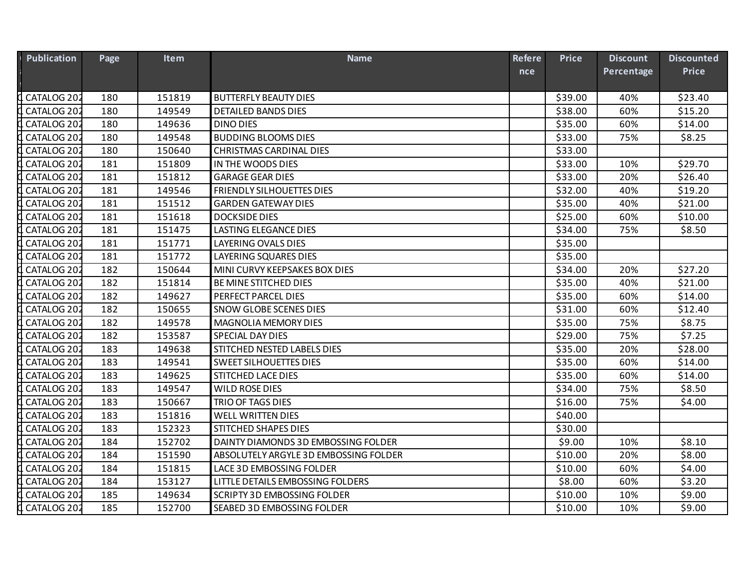| <b>Publication</b> | Page | <b>Item</b> | <b>Name</b>                           | <b>Refere</b> | <b>Price</b> | <b>Discount</b> | <b>Discounted</b> |
|--------------------|------|-------------|---------------------------------------|---------------|--------------|-----------------|-------------------|
|                    |      |             |                                       | nce           |              | Percentage      | <b>Price</b>      |
|                    |      |             |                                       |               |              |                 |                   |
| CATALOG 202        | 180  | 151819      | <b>BUTTERFLY BEAUTY DIES</b>          |               | \$39.00      | 40%             | \$23.40           |
| CATALOG 202        | 180  | 149549      | <b>DETAILED BANDS DIES</b>            |               | \$38.00      | 60%             | \$15.20           |
| CATALOG 202        | 180  | 149636      | <b>DINO DIES</b>                      |               | \$35.00      | 60%             | \$14.00           |
| CATALOG 202        | 180  | 149548      | <b>BUDDING BLOOMS DIES</b>            |               | \$33.00      | 75%             | \$8.25            |
| CATALOG 202        | 180  | 150640      | <b>CHRISTMAS CARDINAL DIES</b>        |               | \$33.00      |                 |                   |
| CATALOG 202        | 181  | 151809      | IN THE WOODS DIES                     |               | \$33.00      | 10%             | \$29.70           |
| CATALOG 202        | 181  | 151812      | <b>GARAGE GEAR DIES</b>               |               | \$33.00      | 20%             | \$26.40           |
| CATALOG 202        | 181  | 149546      | FRIENDLY SILHOUETTES DIES             |               | \$32.00      | 40%             | \$19.20           |
| CATALOG 202        | 181  | 151512      | <b>GARDEN GATEWAY DIES</b>            |               | \$35.00      | 40%             | \$21.00           |
| CATALOG 202        | 181  | 151618      | <b>DOCKSIDE DIES</b>                  |               | \$25.00      | 60%             | \$10.00           |
| CATALOG 202        | 181  | 151475      | <b>LASTING ELEGANCE DIES</b>          |               | \$34.00      | 75%             | \$8.50            |
| CATALOG 202        | 181  | 151771      | LAYERING OVALS DIES                   |               | \$35.00      |                 |                   |
| CATALOG 202        | 181  | 151772      | LAYERING SQUARES DIES                 |               | \$35.00      |                 |                   |
| CATALOG 202        | 182  | 150644      | MINI CURVY KEEPSAKES BOX DIES         |               | \$34.00      | 20%             | \$27.20           |
| CATALOG 202        | 182  | 151814      | BE MINE STITCHED DIES                 |               | \$35.00      | 40%             | \$21.00           |
| CATALOG 202        | 182  | 149627      | PERFECT PARCEL DIES                   |               | \$35.00      | 60%             | \$14.00           |
| CATALOG 202        | 182  | 150655      | SNOW GLOBE SCENES DIES                |               | \$31.00      | 60%             | \$12.40           |
| CATALOG 202        | 182  | 149578      | <b>MAGNOLIA MEMORY DIES</b>           |               | \$35.00      | 75%             | \$8.75            |
| CATALOG 202        | 182  | 153587      | SPECIAL DAY DIES                      |               | \$29.00      | 75%             | \$7.25            |
| CATALOG 202        | 183  | 149638      | STITCHED NESTED LABELS DIES           |               | \$35.00      | 20%             | \$28.00           |
| CATALOG 202        | 183  | 149541      | <b>SWEET SILHOUETTES DIES</b>         |               | \$35.00      | 60%             | \$14.00           |
| CATALOG 202        | 183  | 149625      | <b>STITCHED LACE DIES</b>             |               | \$35.00      | 60%             | \$14.00           |
| CATALOG 202        | 183  | 149547      | <b>WILD ROSE DIES</b>                 |               | \$34.00      | 75%             | \$8.50            |
| CATALOG 202        | 183  | 150667      | TRIO OF TAGS DIES                     |               | \$16.00      | 75%             | \$4.00            |
| CATALOG 202        | 183  | 151816      | <b>WELL WRITTEN DIES</b>              |               | \$40.00      |                 |                   |
| CATALOG 202        | 183  | 152323      | <b>STITCHED SHAPES DIES</b>           |               | \$30.00      |                 |                   |
| CATALOG 202        | 184  | 152702      | DAINTY DIAMONDS 3D EMBOSSING FOLDER   |               | \$9.00       | 10%             | \$8.10            |
| CATALOG 202        | 184  | 151590      | ABSOLUTELY ARGYLE 3D EMBOSSING FOLDER |               | \$10.00      | 20%             | \$8.00            |
| CATALOG 202        | 184  | 151815      | LACE 3D EMBOSSING FOLDER              |               | \$10.00      | 60%             | \$4.00            |
| CATALOG 202        | 184  | 153127      | LITTLE DETAILS EMBOSSING FOLDERS      |               | \$8.00       | 60%             | \$3.20            |
| CATALOG 202        | 185  | 149634      | <b>SCRIPTY 3D EMBOSSING FOLDER</b>    |               | \$10.00      | 10%             | \$9.00            |
| CATALOG 202        | 185  | 152700      | SEABED 3D EMBOSSING FOLDER            |               | \$10.00      | 10%             | \$9.00            |